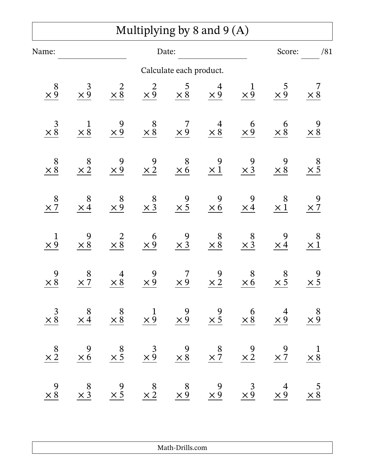## Multiplying by 8 and 9 (A)

| Name:                                        |                                         |                      | Date:                                                                                                                                 |                         |                                                                                                    |                                              | Score:                                       | /81                  |  |
|----------------------------------------------|-----------------------------------------|----------------------|---------------------------------------------------------------------------------------------------------------------------------------|-------------------------|----------------------------------------------------------------------------------------------------|----------------------------------------------|----------------------------------------------|----------------------|--|
|                                              |                                         |                      |                                                                                                                                       | Calculate each product. |                                                                                                    |                                              |                                              |                      |  |
| 8<br>$\times 9$                              | $\mathfrak{Z}$<br>$\times \overline{9}$ | $\times \frac{2}{8}$ | $\times \frac{2}{9}$                                                                                                                  | $\frac{5}{\times 8}$    | $\frac{4}{\times 9}$                                                                               | $\mathbf 1$<br>$\times \overline{9}$         | 5<br>$\times 9$                              | 7<br>$\times 8$      |  |
| $\frac{3}{\times 8}$                         | $\frac{1}{\times 8}$                    | $\frac{9}{\times 9}$ | $\begin{array}{c} 8 \\ \times 8 \end{array}$                                                                                          | $\frac{7}{\times 9}$    | $4 \times 8$                                                                                       | $\frac{6}{\times 9}$                         | 6<br>$\times 8$                              | 9<br>$\times 8$      |  |
| 8<br>$\times 8$                              | 8<br>$\times 2$                         | 9<br>$\times 9$      | $\frac{9}{\times 2}$                                                                                                                  | $8 \times 6$            | 9<br>$\times 1$                                                                                    | 9<br>$\times 3$                              | 9<br>$\times 8$                              | 8<br>$\times 5$      |  |
| 8<br>$\times$ 7                              | 8<br>$\times$ 4                         | $\frac{8}{\times 9}$ | $\begin{array}{c} 8 \\ \times 3 \end{array}$                                                                                          | $\frac{9}{\times 5}$    | 9<br>$\times 6$                                                                                    | 9<br>$\times 4$                              | 8<br>$\times 1$                              | 9<br>$\times$ 7      |  |
| $\mathbf 1$<br>$\times 9$                    | 9<br>$\times 8$                         | $\frac{2}{\times 8}$ | $\begin{array}{c} 6 \\ \times 9 \end{array}$                                                                                          | $\frac{9}{\times 3}$    | $\begin{array}{c} 8 \\ \times 8 \end{array}$                                                       | $\begin{array}{c} 8 \\ \times 3 \end{array}$ | 9<br>$\times 4$                              | 8<br>$\times 1$      |  |
| 9<br>$\times 8$                              | 8<br>$\times \overline{7}$              | $\frac{4}{\times 8}$ | $\frac{9}{\times 9}$                                                                                                                  | 7<br>$\times 9$         | $\frac{9}{\times 2}$                                                                               | 8<br>$\times 6$                              | $\begin{array}{c} 8 \\ \times 5 \end{array}$ | 9<br>$\times 5$      |  |
| $\times \frac{3}{8}$                         | $\frac{8}{\times 4}$                    |                      | $\begin{array}{ccccccccc}\n8 & & 1 & & 9 & & 9 & & 6 \\ \times & 8 & & \times 9 & & \times 9 & & \times 5 & & \times 8\n\end{array}$  |                         |                                                                                                    |                                              | $rac{4}{\times 9}$                           | $\frac{8}{\times 9}$ |  |
| $\begin{array}{c} 8 \\ \times 2 \end{array}$ | $\frac{9}{\times 6}$                    | $\frac{8}{\times 5}$ | $\frac{3}{\times 9}$                                                                                                                  |                         | $\begin{array}{@{}c@{\hspace{1em}}c@{\hspace{1em}}}\n & 9 & 8 \\ \times 8 & \times 7\n\end{array}$ | $\frac{9}{\times 2}$                         | $\frac{9}{2}$                                | $\frac{1}{\times 8}$ |  |
| 9<br>$\times 8$                              | $\frac{8}{\times 3}$                    |                      | $\begin{array}{ccccccccc}\n & 9 & & 8 & & 8 & & 9 & & 3 \\ \times 5 & & \times 2 & & \times 9 & & \times 9 & & \times 9\n\end{array}$ |                         |                                                                                                    |                                              | $\frac{4}{\times 9}$                         | $\frac{5}{\times 8}$ |  |